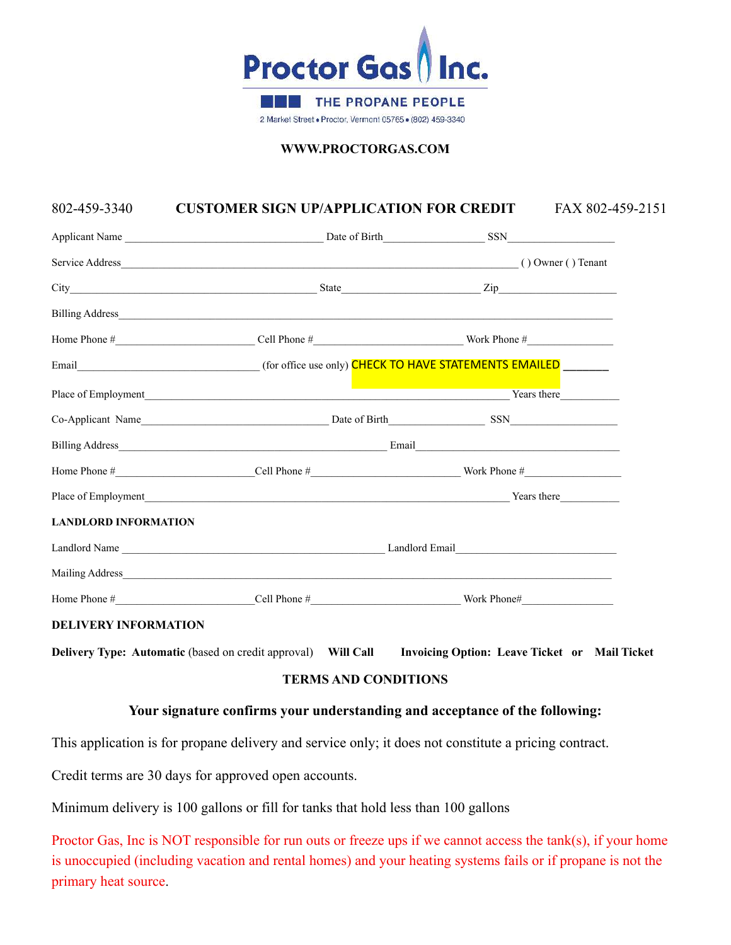

**WWW.PROCTORGAS.COM** 

## 802-459-3340 **CUSTOMER SIGN UP/APPLICATION FOR CREDIT** FAX 802-459-2151

| <b>LANDLORD INFORMATION</b> |  |  |  |  |
|-----------------------------|--|--|--|--|
|                             |  |  |  |  |
|                             |  |  |  |  |
|                             |  |  |  |  |

#### **DELIVERY INFORMATION**

**Delivery Type: Automatic (based on credit approval)** Will Call **Invoicing Option: Leave Ticket or Mail Ticket** 

## **TERMS AND CONDITIONS**

## **Your signature confirms your understanding and acceptance of the following:**

This application is for propane delivery and service only; it does not constitute a pricing contract.

Credit terms are 30 days for approved open accounts.

Minimum delivery is 100 gallons or fill for tanks that hold less than 100 gallons

Proctor Gas, Inc is NOT responsible for run outs or freeze ups if we cannot access the tank(s), if your home is unoccupied (including vacation and rental homes) and your heating systems fails or if propane is not the primary heat source.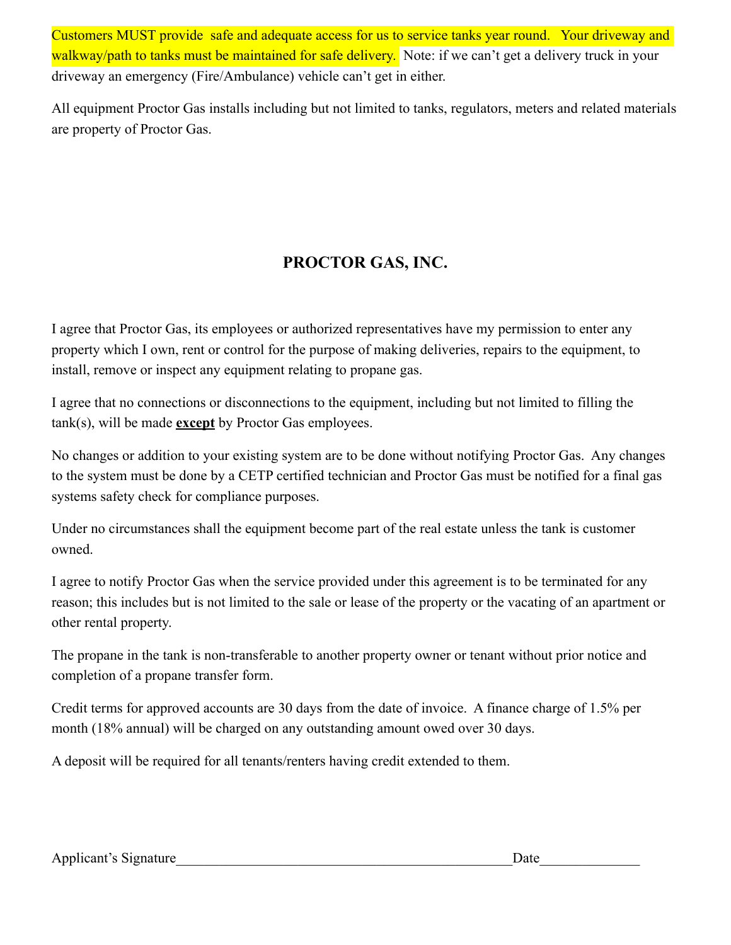Customers MUST provide safe and adequate access for us to service tanks year round. Your driveway and walkway/path to tanks must be maintained for safe delivery. Note: if we can't get a delivery truck in your driveway an emergency (Fire/Ambulance) vehicle can't get in either.

All equipment Proctor Gas installs including but not limited to tanks, regulators, meters and related materials are property of Proctor Gas.

# **PROCTOR GAS, INC.**

I agree that Proctor Gas, its employees or authorized representatives have my permission to enter any property which I own, rent or control for the purpose of making deliveries, repairs to the equipment, to install, remove or inspect any equipment relating to propane gas.

I agree that no connections or disconnections to the equipment, including but not limited to filling the tank(s), will be made **except** by Proctor Gas employees.

No changes or addition to your existing system are to be done without notifying Proctor Gas. Any changes to the system must be done by a CETP certified technician and Proctor Gas must be notified for a final gas systems safety check for compliance purposes.

Under no circumstances shall the equipment become part of the real estate unless the tank is customer owned.

I agree to notify Proctor Gas when the service provided under this agreement is to be terminated for any reason; this includes but is not limited to the sale or lease of the property or the vacating of an apartment or other rental property.

The propane in the tank is non-transferable to another property owner or tenant without prior notice and completion of a propane transfer form.

Credit terms for approved accounts are 30 days from the date of invoice. A finance charge of 1.5% per month (18% annual) will be charged on any outstanding amount owed over 30 days.

A deposit will be required for all tenants/renters having credit extended to them.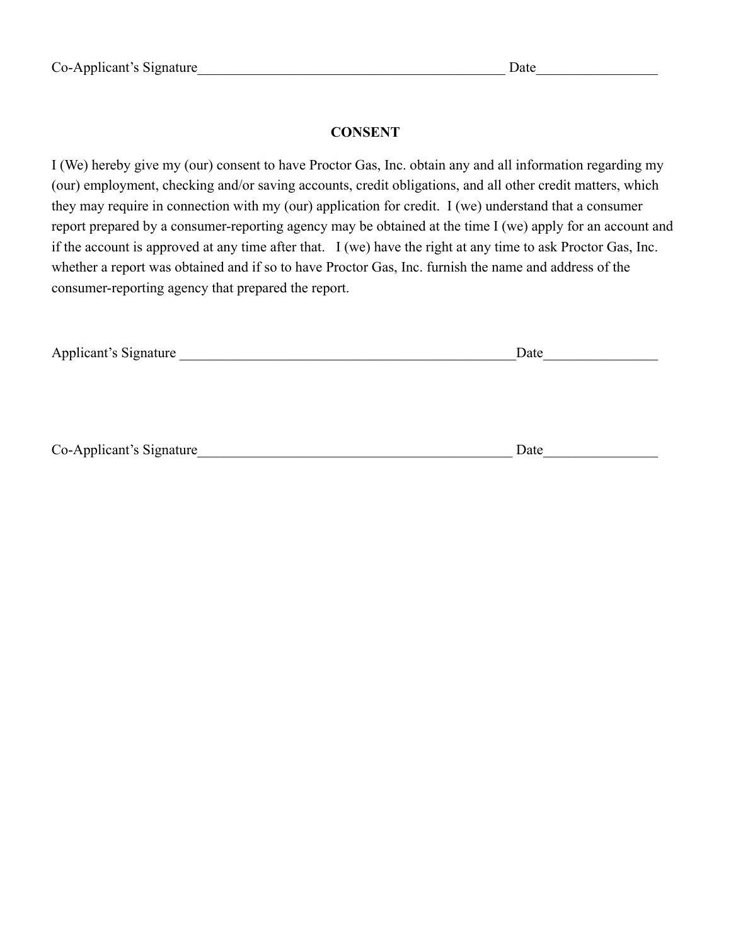## **CONSENT**

I (We) hereby give my (our) consent to have Proctor Gas, Inc. obtain any and all information regarding my (our) employment, checking and/or saving accounts, credit obligations, and all other credit matters, which they may require in connection with my (our) application for credit. I (we) understand that a consumer report prepared by a consumer-reporting agency may be obtained at the time I (we) apply for an account and if the account is approved at any time after that. I (we) have the right at any time to ask Proctor Gas, Inc. whether a report was obtained and if so to have Proctor Gas, Inc. furnish the name and address of the consumer-reporting agency that prepared the report.

| Applicant's Signature    | Date |  |  |  |
|--------------------------|------|--|--|--|
|                          |      |  |  |  |
|                          |      |  |  |  |
|                          |      |  |  |  |
|                          |      |  |  |  |
| Co-Applicant's Signature | Date |  |  |  |